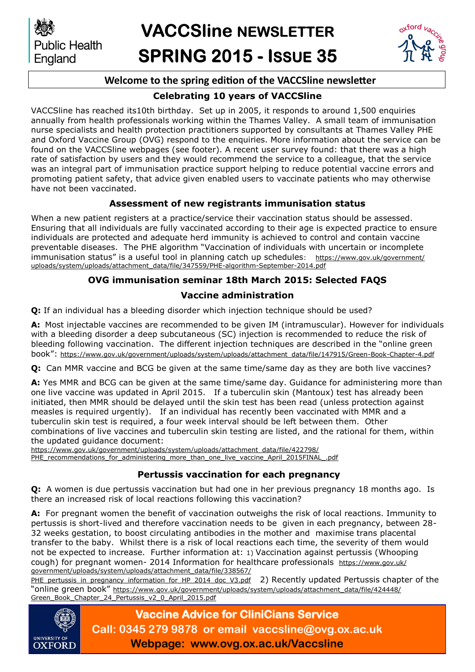

# **VACCSline NEWSLETTER SPRING 2015 - ISSUE 35**



# **Welcome to the spring edition of the VACCSline newsletter**

# **Celebrating 10 years of VACCSline**

VACCSline has reached its10th birthday. Set up in 2005, it responds to around 1,500 enquiries annually from health professionals working within the Thames Valley. A small team of immunisation nurse specialists and health protection practitioners supported by consultants at Thames Valley PHE and Oxford Vaccine Group (OVG) respond to the enquiries. More information about the service can be found on the VACCSline webpages (see footer). A recent user survey found: that there was a high rate of satisfaction by users and they would recommend the service to a colleague, that the service was an integral part of immunisation practice support helping to reduce potential vaccine errors and promoting patient safety, that advice given enabled users to vaccinate patients who may otherwise have not been vaccinated.

# **Assessment of new registrants immunisation status**

When a new patient registers at a practice/service their vaccination status should be assessed. Ensuring that all individuals are fully vaccinated according to their age is expected practice to ensure individuals are protected and adequate herd immunity is achieved to control and contain vaccine preventable diseases. The PHE algorithm "Vaccination of individuals with uncertain or incomplete immunisation status" is a useful tool in planning catch up schedules: [https://www.gov.uk/government/](https://www.gov.uk/government/uploads/system/uploads/attachment_data/file/347559/PHE-algorithm-September-2014.pdf) [uploads/system/uploads/attachment\\_data/file/347559/PHE-algorithm-September-2014.pdf](https://www.gov.uk/government/uploads/system/uploads/attachment_data/file/347559/PHE-algorithm-September-2014.pdf)

# **OVG immunisation seminar 18th March 2015: Selected FAQS**

## **Vaccine administration**

**Q:** If an individual has a bleeding disorder which injection technique should be used?

**A:** Most injectable vaccines are recommended to be given IM (intramuscular). However for individuals with a bleeding disorder a deep subcutaneous (SC) injection is recommended to reduce the risk of bleeding following vaccination. The different injection techniques are described in the "online green book": [https://www.gov.uk/government/uploads/system/uploads/attachment\\_data/file/147915/Green-Book-Chapter-4.pdf](https://www.gov.uk/government/uploads/system/uploads/attachment_data/file/147915/Green-Book-Chapter-4.pdf)

**Q:** Can MMR vaccine and BCG be given at the same time/same day as they are both live vaccines?

**A:** Yes MMR and BCG can be given at the same time/same day. Guidance for administering more than one live vaccine was updated in April 2015. If a tuberculin skin (Mantoux) test has already been initiated, then MMR should be delayed until the skin test has been read (unless protection against measles is required urgently). If an individual has recently been vaccinated with MMR and a tuberculin skin test is required, a four week interval should be left between them. Other combinations of live vaccines and tuberculin skin testing are listed, and the rational for them, within the updated guidance document:

[https://www.gov.uk/government/uploads/system/uploads/attachment\\_data/file/422798/](https://www.gov.uk/government/uploads/system/uploads/attachment_data/file/422798/PHE_recommendations_for_administering_more_than_one_live_vaccine_April_2015FINAL_.pdf)

PHE\_recommendations\_for\_administering\_more\_than\_one\_live\_vaccine\_April\_2015FINAL

## **Pertussis vaccination for each pregnancy**

**Q:** A women is due pertussis vaccination but had one in her previous pregnancy 18 months ago. Is there an increased risk of local reactions following this vaccination?

**A:** For pregnant women the benefit of vaccination outweighs the risk of local reactions. Immunity to pertussis is short-lived and therefore vaccination needs to be given in each pregnancy, between 28- 32 weeks gestation, to boost circulating antibodies in the mother and maximise trans placental transfer to the baby. Whilst there is a risk of local reactions each time, the severity of them would not be expected to increase. Further information at: 1) Vaccination against pertussis (Whooping cough) for pregnant women- 2014 Information for healthcare professionals [https://www.gov.uk/](https://www.gov.uk/government/uploads/system/uploads/attachment_data/file/338567/PHE_pertussis_in_pregnancy_information_for_HP_2014_doc_V3.pdf) [government/uploads/system/uploads/attachment\\_data/file/338567/](https://www.gov.uk/government/uploads/system/uploads/attachment_data/file/338567/PHE_pertussis_in_pregnancy_information_for_HP_2014_doc_V3.pdf)

[PHE\\_pertussis\\_in\\_pregnancy\\_information\\_for\\_HP\\_2014\\_doc\\_V3.pdf](https://www.gov.uk/government/uploads/system/uploads/attachment_data/file/338567/PHE_pertussis_in_pregnancy_information_for_HP_2014_doc_V3.pdf) 2) Recently updated Pertussis chapter of the "online green book" [https://www.gov.uk/government/uploads/system/uploads/attachment\\_data/file/424448/](https://www.gov.uk/government/uploads/system/uploads/attachment_data/file/424448/Green_Book_Chapter_24_Pertussis_v2_0_April_2015.pdf) [Green\\_Book\\_Chapter\\_24\\_Pertussis\\_v2\\_0\\_April\\_2015.pdf](https://www.gov.uk/government/uploads/system/uploads/attachment_data/file/424448/Green_Book_Chapter_24_Pertussis_v2_0_April_2015.pdf)



**Vaccine Advice for CliniCians Service Call: 0345 279 9878 or email vaccsline@ovg.ox.ac.uk Webpage: www.ovg.ox.ac.uk/Vaccsline**